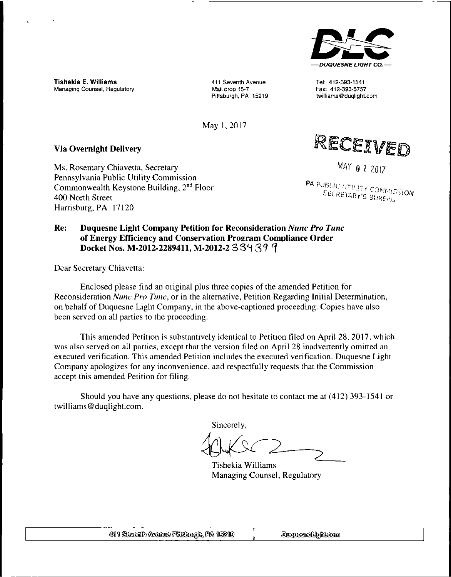

Tel: 412-393-1541 Fax: 412-393-5757 twilliams@duqlight.com

Tishekia E. Williams Managing Counsel, Regulatory

411 Seventh Avenue Mail drop 15-7 Pittsburgh, PA 15219

May 1, 2017

### **Via Overnight Delivery**

Ms. Rosemary Chiavetta, Secretary Pennsylvania Public Utility Commission Commonwealth Keystone Building, 2nd Floor 400 North Street Harrisburg, PA 17120



*MAY 0 1* 2017

**PA PUBLIC UTILITY COMMISSION**<br>SECRETARY'S BUREAU

### **Re: Duquesne Light Company Petition for Reconsideration** *Nunc Pro Tunc* **of Energy Efficiency and Conservation Program Compliance Order Docket Nos. M-2012-2289411, M-2012-2 33'H 3?**

Dear Secretary Chiavetta:

Enclosed please find an original plus three copies of the amended Petition for Reconsideration *Nunc Pro Tunc,* or in the alternative, Petition Regarding Initial Determination, on behalf of Duquesne Light Company, in the above-captioned proceeding. Copies have also been served on all parties to the proceeding.

This amended Petition is substantively identical to Petition filed on April 28, 2017, which was also served on all parties, except that the version filed on April 28 inadvertently omitted an executed verification. This amended Petition includes the executed verification. Duquesne Light Company apologizes for any inconvenience, and respectfully requests that the Commission accept this amended Petition for filing.

Should you have any questions, please do not hesitate to contact me at (412) 393-1541 or twilliams@duqlight.com.

Sincerely,

Tishekia Williams Managing Counsel, Regulatory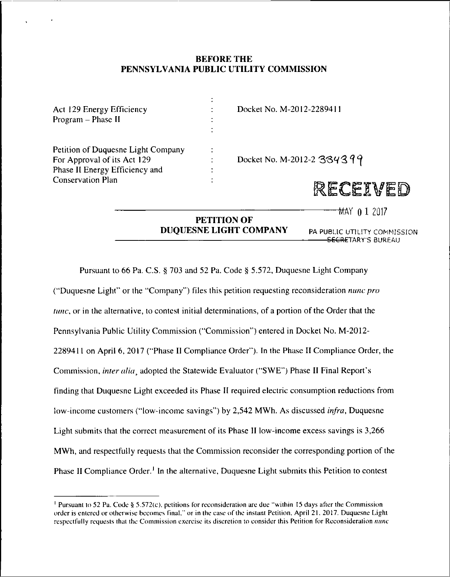### **BEFORE THE PENNSYLVANIA PUBLIC UTILITY COMMISSION**

J.

| Act 129 Energy Efficiency<br>Program - Phase II                                                     | Docket No. M-2012-2289411  |
|-----------------------------------------------------------------------------------------------------|----------------------------|
| Petition of Duquesne Light Company<br>For Approval of its Act 129<br>Phase II Energy Efficiency and | Docket No. M-2012-2 334399 |
| <b>Conservation Plan</b>                                                                            | 路距红<br>en vedi             |

 $\frac{1}{2017}$  **0 1** 2017

### **PETITION OF DUQUESNE LIGHT COMPANY**

PA PUBLIC UTILITY COMMISSION SECRETARY'S BUREAU

Pursuant to 66 Pa. C.S. § 703 and 52 Pa. Code § 5.572, Duquesne Light Company ("Duquesne Light" or the "Company") files this petition requesting reconsideration *nunc pro tunc*, or in the alternative, to contest initial determinations, of a portion of the Order that the Pennsylvania Public Utility Commission ("Commission") entered in Docket No. M-2012- 2289411 on April 6, 2017 ("Phase II Compliance Order"). In the Phase II Compliance Order, the Commission, *inter alia*, adopted the Statewide Evaluator ("SWE") Phase II Final Report's finding that Duquesne Light exceeded its Phase II required electric consumption reductions from low-income customers ("low-income savings") by 2,542 MWh. As discussed *infra,* Duquesne Light submits that the correct measurement of its Phase II low-income excess savings is 3,266 MWh, and respectfully requests that the Commission reconsider the corresponding portion of the Phase II Compliance Order.<sup>1</sup> In the alternative, Duquesne Light submits this Petition to contest

<sup>1</sup> Pursuant lo 52 Pa. Code § 5.572(c). petitions for reconsideration are due "within 15 days after the Commission order is entered or otherwise becomes final." or in the case of the instant Petition. April 21. 2017. Duquesne Light respectfully requests that the Commission exercise its discretion to consider this Petition for Reconsideration *nunc*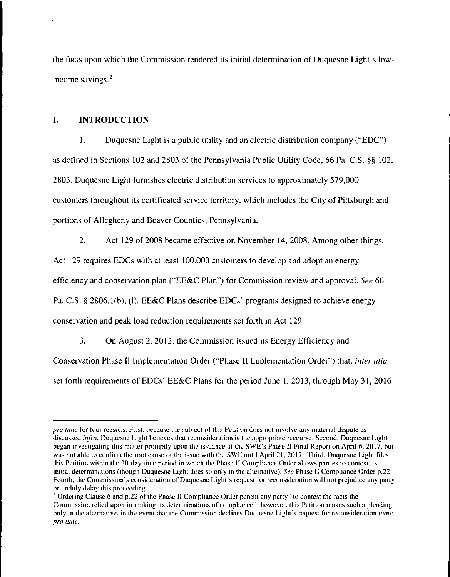the facts upon which the Commission rendered its initial determination of Duquesne Light's lowincome savings.2

### **I. INTRODUCTION**

1. Duquesne Light is a public utility and an electric distribution company ("EDC") as defined in Sections 102 and 2803 of the Pennsylvania Public Utility Code, 66 Pa. C.S. §§ 102, 2803. Duquesne Light furnishes electric distribution services to approximately 579,000 customers throughout its certificated service territory, which includes the City of Pittsburgh and portions of Allegheny and Beaver Counties, Pennsylvania.

2. Act 129 of 2008 became effective on November 14, 2008. Among other things. Act 129 requires EDCs with at least 100,000 customers to develop and adopt an energy efficiency and conservation plan ("EE&C Plan") for Commission review and approval. *See* 66 Pa. C.S. § 2806.1(b), (I). EE&C Plans describe EDCs' programs designed to achieve energy conservation and peak load reduction requirements set forth in Act 129.

3. On August 2, 2012, the Commission issued its Energy Efficiency and

Conservation Phase II Implementation Order ("Phase II Implementation Order") that, *inter alia,* set forth requirements of EDCs' EE&C Plans for the period June I, 2013, through May 31, 2016

*pro tunc* for four reasons. First, because the subject of this Petition does not involve any material dispute as discussed *infra.* Duquesne Light believes that reconsideration is the appropriate recourse. Second. Duquesne Light began investigating this matter promptly upon the issuance of the SWE's Phase II Final Report on April 6. 2017. but was not able to confirm the root cause of the issue with the SWE until April 21, 2017. Third. Duquesne Light files this Petition within the 20-day time period in which the Phase II Compliance Order allows parties to contest its initial determinations (though Duquesne Light does so only in the alternative). *See* Phase II Compliance Order p.22. Fourth, the Commission's consideration of Duquesne Light's request for reconsideration will not prejudice any party or unduly delay this proceeding.

<sup>2</sup> Ordering Clause 6 and p.22 of the Phase II Compliance Order permit any party "to contest the facts the Commission relied upon in making its determinations of compliance"; however, this Petition makes such a pleading only in the alternative, in the event that the Commission declines Duquesne Light's request for reconsideration *nunc pro tunc.*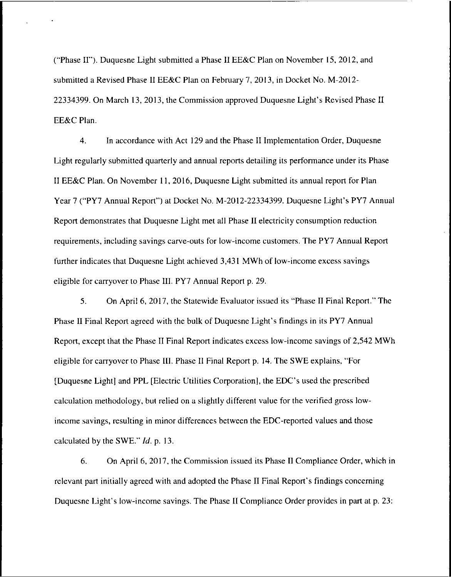("Phase 11"). Duquesne Light submitted a Phase II EE&C Plan on November 15, 2012, and submitted a Revised Phase II EE&C Plan on February 7, 2013, in Docket No. M-2012- 22334399. On March 13, 2013, the Commission approved Duquesne Light's Revised Phase II EE&C Plan.

4. In accordance with Act 129 and the Phase II Implementation Order, Duquesne Light regularly submitted quarterly and annual reports detailing its performance under its Phase II EE&C Plan. On November 11, 2016, Duquesne Light submitted its annual report for Plan Year 7 ("PY7 Annual Report") at Docket No. M-2012-22334399. Duquesne Light's PY7 Annual Report demonstrates that Duquesne Light met all Phase II electricity consumption reduction requirements, including savings carve-outs for low-income customers. The PY7 Annual Report further indicates that Duquesne Light achieved 3,431 MWh of low-income excess savings eligible for carryover to Phase III. PY7 Annual Report p. 29.

5. On April 6, 2017, the Statewide Evaluator issued its "Phase II Final Report." The Phase II Final Report agreed with the bulk of Duquesne Light's findings in its PY7 Annual Report, except that the Phase II Final Report indicates excess low-income savings of 2,542 MWh eligible for carryover to Phase III. Phase II Final Report p. 14. The SWE explains, "For [Duquesne Light] and PPL [Electric Utilities Corporation], the EDC's used the prescribed calculation methodology, but relied on a slightly different value for the verified gross lowincome savings, resulting in minor differences between the EDC-reported values and those calculated by the SWE." *Id.* p. 13.

6. On April 6, 2017, the Commission issued its Phase II Compliance Order, which in relevant part initially agreed with and adopted the Phase II Final Report's findings concerning Duquesne Light's low-income savings. The Phase II Compliance Order provides in part at p. 23: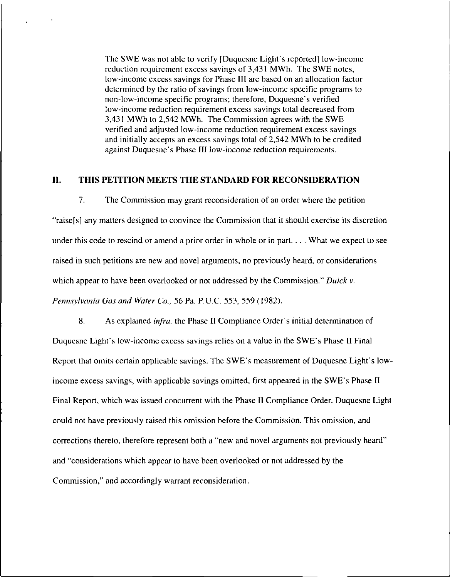The SWE was not able to verify [Duquesne Light's reported] low-income reduction requirement excess savings of 3,431 MWh. The SWE notes, low-income excess savings for Phase III are based on an allocation factor determined by the ratio of savings from low-income specific programs to non-low-income specific programs; therefore, Duquesne's verified low-income reduction requirement excess savings total decreased from 3,431 MWh to 2,542 MWh. The Commission agrees with the SWE verified and adjusted low-income reduction requirement excess savings and initially accepts an excess savings total of 2,542 MWh to be credited against Duquesne's Phase III low-income reduction requirements.

### II. THIS PETITION MEETS THE STANDARD FOR RECONSIDERATION

7. The Commission may grant reconsideration of an order where the petition "raise[s] any matters designed to convince the Commission that it should exercise its discretion under this code to rescind or amend a prior order in whole or in part. . . . What we expect to see raised in such petitions are new and novel arguments, no previously heard, or considerations which appear to have been overlooked or not addressed by the Commission." *Duick* v. *Pennsylvania Gas and Water Co.,* 56 Pa. P.U.C. 553, 559 (1982).

8. As explained *infra,* the Phase II Compliance Order's initial determination of Duquesne Light's low-income excess savings relies on a value in the SWE's Phase II Final Report that omits certain applicable savings. The SWE's measurement of Duquesne Light's lowincome excess savings, with applicable savings omitted, first appeared in the SWE's Phase II Final Report, which was issued concurrent with the Phase II Compliance Order. Duquesne Light could not have previously raised this omission before the Commission. This omission, and corrections thereto, therefore represent both a "new and novel arguments not previously heard" and "considerations which appear to have been overlooked or not addressed by the Commission," and accordingly warrant reconsideration.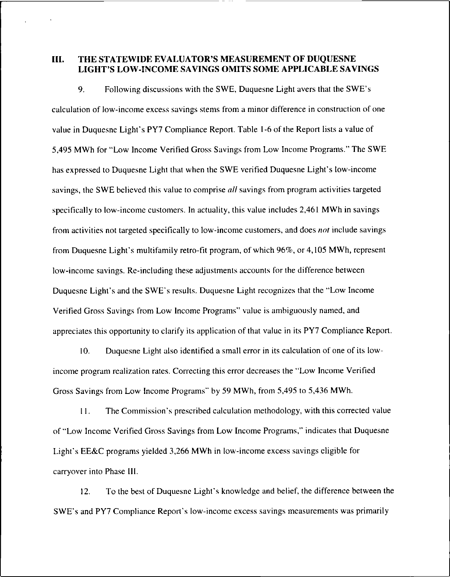### **HI. THE STATEWIDE EVALUATOR'S MEASUREMENT OF DUQUESNE LIGHT'S LOW-INCOME SAVINGS OMITS SOME APPLICABLE SAVINGS**

9. Following discussions wilh the SWE, Duquesne Light avers that the SWE's calculation of low-income excess savings stems from a minor difference in construction of one value in Duquesne Light's PY7 Compliance Report. Table 1-6 of the Report lists a value of 5,495 MWh for "Low Income Verified Gross Savings from Low Income Programs." The SWE has expressed to Duquesne Light that when the SWE verified Duquesne Light's low-income savings, the SWE believed this value to comprise *all* savings from program activities targeted specifically to low-income customers. In actuality, this value includes 2,461 MWh in savings from activities not targeted specifically to low-income customers, and does *not* include savings from Duquesne Light's multifamily retro-fit program, of which 96%, or 4,105 MWh, represent low-income savings. Re-including these adjustments accounts for the difference between Duquesne Light's and the SWE's results. Duquesne Light recognizes that the "Low Income Verified Gross Savings from Low Income Programs" value is ambiguously named, and appreciates this opportunity to clarify its application of that value in its PY7 Compliance Report.

10. Duquesne Light also identified a small error in its calculation of one of its lowincome program realization rates. Correcting this error decreases the "Low Income Verified Gross Savings from Low Income Programs" by 59 MWh, from 5,495 to 5,436 MWh.

11. The Commission's prescribed calculation methodology, with this corrected value of "Low Income Verified Gross Savings from Low Income Programs," indicates that Duquesne Light's EE&C programs yielded 3,266 MWh in low-income excess savings eligible for carryover into Phase III.

12. To the best of Duquesne Light's knowledge and belief, the difference between the SWE's and PY7 Compliance Report's low-income excess savings measurements was primarily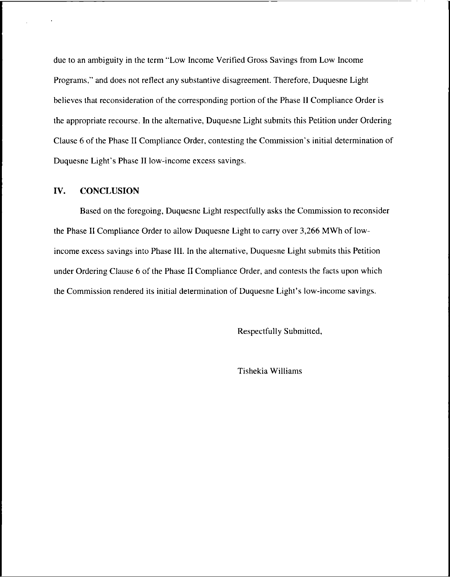due to an ambiguity in the term "Low Income Verified Gross Savings from Low Income Programs," and does not reflect any substantive disagreement. Therefore, Duquesne Light believes that reconsideration of the corresponding portion of the Phase II Compliance Order is the appropriate recourse. In the alternative, Duquesne Light submits this Petition under Ordering Clause 6 of the Phase II Compliance Order, contesting the Commission's initial determination of Duquesne Light's Phase II low-income excess savings.

### **IV. CONCLUSION**

Based on the foregoing, Duquesne Light respectfully asks the Commission to reconsider the Phase II Compliance Order to allow Duquesne Light to carry over 3,266 MWh of lowincome excess savings into Phase III. In the alternative, Duquesne Light submits this Petition under Ordering Clause 6 of the Phase II Compliance Order, and contests the facts upon which the Commission rendered its initial determination of Duquesne Light's low-income savings.

Respectfully Submitted,

Tishekia Williams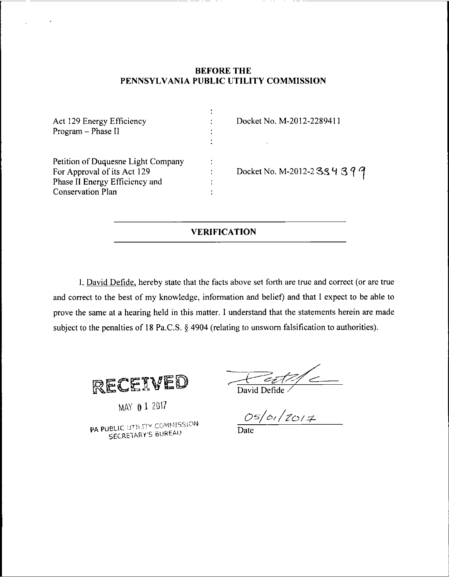### **BEFORE THE PENNSYLVANIA PUBLIC UTILITY COMMISSION**

| Act 129 Energy Efficiency<br>Program - Phase II                                                                                 |   | Docket No. M-2012-2289411       |
|---------------------------------------------------------------------------------------------------------------------------------|---|---------------------------------|
| Petition of Duquesne Light Company<br>For Approval of its Act 129<br>Phase II Energy Efficiency and<br><b>Conservation Plan</b> | ٠ | Docket No. M-2012-2 3 3 4 3 9 9 |

### **VERIFICATION**

I, David Defide, hereby state that the facts above set forth are true and correct (or are true and correct to the best of my knowledge, information and belief) and that <sup>I</sup> expect to be able to prove the same at a hearing held in this matter. I understand that the statements herein are made subject to the penalties of 18 Pa.C.S. § 4904 (relating to unsworn falsification to authorities).



MAY 0 1 2017

PA PUBLIC UTILITY COMMISSION SECRETARY'S BUREAU

 $\frac{1}{\frac{1}{\frac{1}{1}}\frac{1}{\frac{1}{1}}\frac{1}{1}}$ David Defide

*/Za/jL*

Date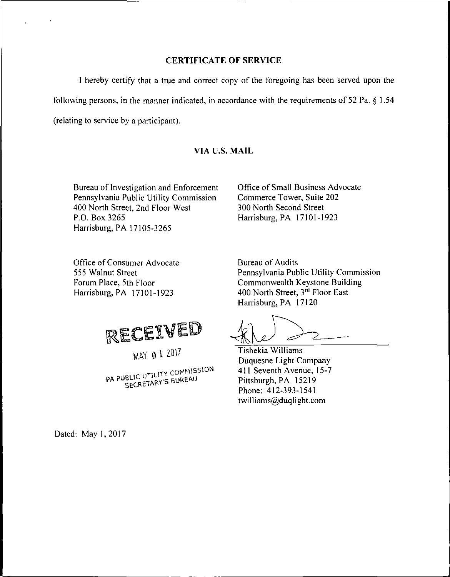### **CERTIFICATE OF SERVICE**

<sup>I</sup> hereby certify that a true and correct copy of the foregoing has been served upon the following persons, in the manner indicated, in accordance with the requirements of 52 Pa. § 1.54 (relating to service by a participant).

### **VIA U.S. MAIL**

Bureau of Investigation and Enforcement Pennsylvania Public Utility Commission 400 North Street, 2nd Floor West P.O. Box 3265 Harrisburg, PA 17105-3265

Office of Small Business Advocate Commerce Tower, Suite 202 300 North Second Street Harrisburg, PA 17101-1923

Office of Consumer Advocate 555 Walnut Street Forum Place, 5th Floor Harrisburg, PA 17101-1923

RECEIVED

MAY 0 1 2017

PA PUBLIC UTILITY COMMISSION<br>PA PUBLIC UTILITY BUREAU

Bureau of Audits Pennsylvania Public Utility Commission Commonwealth Keystone Building 400 North Street, 3rd Floor East Harrisburg, PA 17120

Tishekia Williams Duquesne Light Company 411 Seventh Avenue, 15-7 Pittsburgh, PA 15219 Phone; 412-393-1541 twilliams@duqlight.com

Dated: May 1,2017